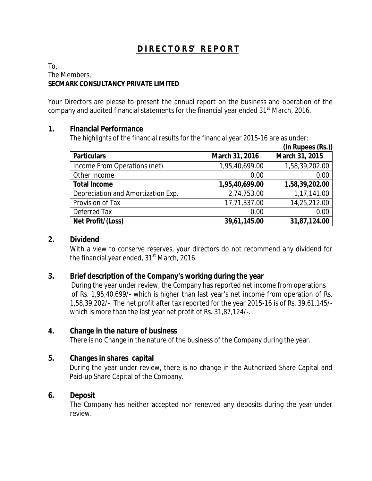# **D I R E C T O R S' R E P O R T**

To, The Members, **SECMARK CONSULTANCY PRIVATE LIMITED**

Your Directors are please to present the annual report on the business and operation of the company and audited financial statements for the financial year ended  $31<sup>st</sup>$  March, 2016.

### **1. Financial Performance**

The highlights of the financial results for the financial year 2015-16 are as under:

|                                    |                | $(In$ Rupees $(Rs.)$ ) |
|------------------------------------|----------------|------------------------|
| Particulars                        | March 31, 2016 | March 31, 2015         |
| Income From Operations (net)       | 1,95,40,699.00 | 1,58,39,202.00         |
| Other Income                       | 0.00           | 0.00                   |
| <b>Total Income</b>                | 1,95,40,699.00 | 1,58,39,202.00         |
| Depreciation and Amortization Exp. | 2,74,753.00    | 1,17,141.00            |
| Provision of Tax                   | 17,71,337.00   | 14,25,212.00           |
| Deferred Tax                       | 0.00           | 0.00                   |
| Net Profit/(Loss)                  | 39,61,145.00   | 31,87,124.00           |

### **2. Dividend**

With a view to conserve reserves, your directors do not recommend any dividend for the financial year ended,  $31<sup>st</sup>$  March, 2016.

- **3. Brief description of the Company's working during the year** During the year under review, the Company has reported net income from operations of Rs. 1,95,40,699/- which is higher than last year's net income from operation of Rs. 1,58,39,202/-. The net profit after tax reported for the year 2015-16 is of Rs. 39,61,145/ which is more than the last year net profit of Rs. 31,87,124/-.
- **4. Change in the nature of business** There is no Change in the nature of the business of the Company during the year.
- **5. Changes in shares capital** During the year under review, there is no change in the Authorized Share Capital and Paid-up Share Capital of the Company.

### **6. Deposit**

The Company has neither accepted nor renewed any deposits during the year under review.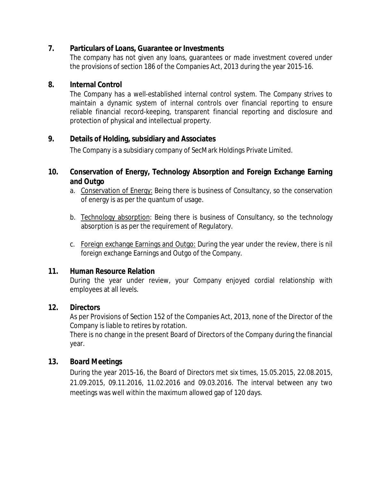- **7. Particulars of Loans, Guarantee or Investments** The company has not given any loans, guarantees or made investment covered under the provisions of section 186 of the Companies Act, 2013 during the year 2015-16.
- **8. Internal Control**

The Company has a well-established internal control system. The Company strives to maintain a dynamic system of internal controls over financial reporting to ensure reliable financial record-keeping, transparent financial reporting and disclosure and protection of physical and intellectual property.

# **9. Details of Holding, subsidiary and Associates**

The Company is a subsidiary company of SecMark Holdings Private Limited.

- **10. Conservation of Energy, Technology Absorption and Foreign Exchange Earning and Outgo**
	- a. Conservation of Energy: Being there is business of Consultancy, so the conservation of energy is as per the quantum of usage.
	- b. Technology absorption: Being there is business of Consultancy, so the technology absorption is as per the requirement of Regulatory.
	- c. Foreign exchange Earnings and Outgo: During the year under the review, there is nil foreign exchange Earnings and Outgo of the Company.

# **11. Human Resource Relation**

During the year under review, your Company enjoyed cordial relationship with employees at all levels.

**12. Directors**

As per Provisions of Section 152 of the Companies Act, 2013, none of the Director of the Company is liable to retires by rotation.

There is no change in the present Board of Directors of the Company during the financial year.

**13. Board Meetings**

During the year 2015-16, the Board of Directors met six times, 15.05.2015, 22.08.2015, 21.09.2015, 09.11.2016, 11.02.2016 and 09.03.2016. The interval between any two meetings was well within the maximum allowed gap of 120 days.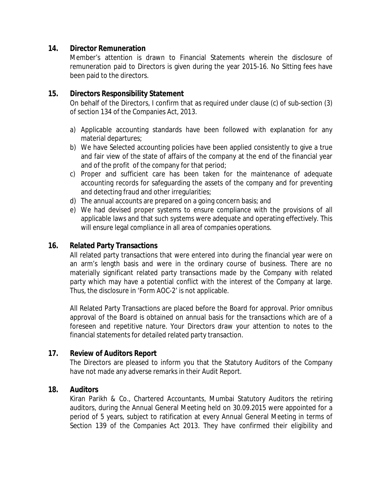**14. Director Remuneration**

Member's attention is drawn to Financial Statements wherein the disclosure of remuneration paid to Directors is given during the year 2015-16. No Sitting fees have been paid to the directors.

- **15. Directors Responsibility Statement** On behalf of the Directors, I confirm that as required under clause (c) of sub-section (3) of section 134 of the Companies Act, 2013.
	- a) Applicable accounting standards have been followed with explanation for any material departures;
	- b) We have Selected accounting policies have been applied consistently to give a true and fair view of the state of affairs of the company at the end of the financial year and of the profit of the company for that period;
	- c) Proper and sufficient care has been taken for the maintenance of adequate accounting records for safeguarding the assets of the company and for preventing and detecting fraud and other irregularities;
	- d) The annual accounts are prepared on a going concern basis; and
	- e) We had devised proper systems to ensure compliance with the provisions of all applicable laws and that such systems were adequate and operating effectively. This will ensure legal compliance in all area of companies operations.
- **16. Related Party Transactions**

All related party transactions that were entered into during the financial year were on an arm's length basis and were in the ordinary course of business. There are no materially significant related party transactions made by the Company with related party which may have a potential conflict with the interest of the Company at large. Thus, the disclosure in 'Form AOC-2' is not applicable.

All Related Party Transactions are placed before the Board for approval. Prior omnibus approval of the Board is obtained on annual basis for the transactions which are of a foreseen and repetitive nature. Your Directors draw your attention to notes to the financial statements for detailed related party transaction.

**17. Review of Auditors Report**

The Directors are pleased to inform you that the Statutory Auditors of the Company have not made any adverse remarks in their Audit Report.

**18. Auditors**

Kiran Parikh & Co., Chartered Accountants, Mumbai Statutory Auditors the retiring auditors, during the Annual General Meeting held on 30.09.2015 were appointed for a period of 5 years, subject to ratification at every Annual General Meeting in terms of Section 139 of the Companies Act 2013. They have confirmed their eligibility and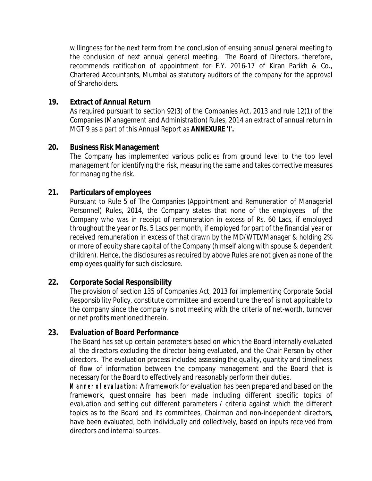willingness for the next term from the conclusion of ensuing annual general meeting to the conclusion of next annual general meeting. The Board of Directors, therefore, recommends ratification of appointment for F.Y. 2016-17 of Kiran Parikh & Co., Chartered Accountants, Mumbai as statutory auditors of the company for the approval of Shareholders.

**19. Extract of Annual Return**

As required pursuant to section 92(3) of the Companies Act, 2013 and rule 12(1) of the Companies (Management and Administration) Rules, 2014 an extract of annual return in MGT 9 as a part of this Annual Report as **ANNEXURE 'I'.**

- **20. Business Risk Management** The Company has implemented various policies from ground level to the top level management for identifying the risk, measuring the same and takes corrective measures for managing the risk.
- **21. Particulars of employees**

Pursuant to Rule 5 of The Companies (Appointment and Remuneration of Managerial Personnel) Rules, 2014, the Company states that none of the employees of the Company who was in receipt of remuneration in excess of Rs. 60 Lacs, if employed throughout the year or Rs. 5 Lacs per month, if employed for part of the financial year or received remuneration in excess of that drawn by the MD/WTD/Manager & holding 2% or more of equity share capital of the Company (himself along with spouse & dependent children). Hence, the disclosures as required by above Rules are not given as none of the employees qualify for such disclosure.

**22. Corporate Social Responsibility**

The provision of section 135 of Companies Act, 2013 for implementing Corporate Social Responsibility Policy, constitute committee and expenditure thereof is not applicable to the company since the company is not meeting with the criteria of net-worth, turnover or net profits mentioned therein.

### **23. Evaluation of Board Performance**

The Board has set up certain parameters based on which the Board internally evaluated all the directors excluding the director being evaluated, and the Chair Person by other directors. The evaluation process included assessing the quality, quantity and timeliness of flow of information between the company management and the Board that is necessary for the Board to effectively and reasonably perform their duties.

*Manner of evaluation: A* framework for evaluation has been prepared and based on the framework, questionnaire has been made including different specific topics of evaluation and setting out different parameters / criteria against which the different topics as to the Board and its committees, Chairman and non-independent directors, have been evaluated, both individually and collectively, based on inputs received from directors and internal sources.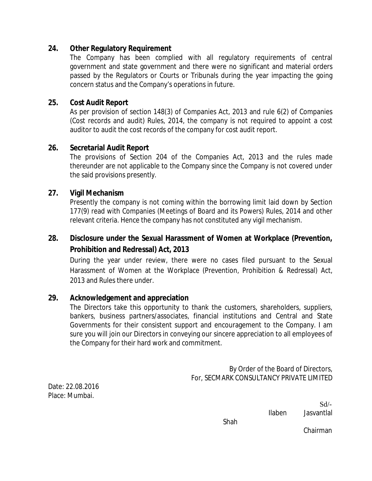### **24. Other Regulatory Requirement**

The Company has been complied with all regulatory requirements of central government and state government and there were no significant and material orders passed by the Regulators or Courts or Tribunals during the year impacting the going concern status and the Company's operations in future.

### **25. Cost Audit Report**

As per provision of section 148(3) of Companies Act, 2013 and rule 6(2) of Companies (Cost records and audit) Rules, 2014, the company is not required to appoint a cost auditor to audit the cost records of the company for cost audit report.

### **26. Secretarial Audit Report**

The provisions of Section 204 of the Companies Act, 2013 and the rules made thereunder are not applicable to the Company since the Company is not covered under the said provisions presently.

### **27. Vigil Mechanism**

Presently the company is not coming within the borrowing limit laid down by Section 177(9) read with Companies (Meetings of Board and its Powers) Rules, 2014 and other relevant criteria. Hence the company has not constituted any vigil mechanism.

**28. Disclosure under the Sexual Harassment of Women at Workplace (Prevention, Prohibition and Redressal) Act, 2013**

During the year under review, there were no cases filed pursuant to the Sexual Harassment of Women at the Workplace (Prevention, Prohibition & Redressal) Act, 2013 and Rules there under.

### **29. Acknowledgement and appreciation**

The Directors take this opportunity to thank the customers, shareholders, suppliers, bankers, business partners/associates, financial institutions and Central and State Governments for their consistent support and encouragement to the Company. I am sure you will join our Directors in conveying our sincere appreciation to all employees of the Company for their hard work and commitment.

> By Order of the Board of Directors, For, SECMARK CONSULTANCY PRIVATE LIMITED

Date: 22.08.2016 Place: Mumbai.

> $Sd$ <sup>-</sup> Ilaben Jasvantlal

Shah

Chairman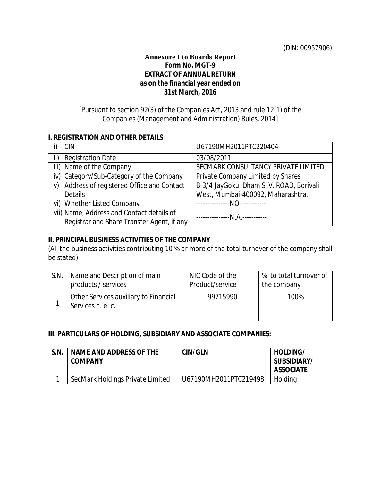### **Annexure I to Boards Report**

### **Form No. MGT-9 EXTRACT OF ANNUAL RETURN as on the financial year ended on 31st March, 2016**

### [Pursuant to section 92(3) *of the Companies Act, 2013* and rule 12(1) of the Companies (Management and Administration) Rules, 2014]

#### **I. REGISTRATION AND OTHER DETAILS**:

| <b>CIN</b>                                     | U67190MH2011PTC220404                    |
|------------------------------------------------|------------------------------------------|
| <b>Registration Date</b><br>ii)                | 03/08/2011                               |
| iii) Name of the Company                       | SECMARK CONSULTANCY PRIVATE LIMITED      |
| iv) Category/Sub-Category of the Company       | Private Company Limited by Shares        |
| Address of registered Office and Contact<br>V) | B-3/4 JayGokul Dham S. V. ROAD, Borivali |
| <b>Details</b>                                 | West, Mumbai-400092, Maharashtra.        |
| vi) Whether Listed Company                     | --N0------------                         |
| vii) Name, Address and Contact details of      | -------------N.A.----------              |
| Registrar and Share Transfer Agent, if any     |                                          |

### **II. PRINCIPAL BUSINESS ACTIVITIES OF THE COMPANY**

(All the business activities contributing 10 % or more of the total turnover of the company shall be stated)

| S.N. | Name and Description of main                               | NIC Code of the | % to total turnover of |
|------|------------------------------------------------------------|-----------------|------------------------|
|      | products / services                                        | Product/service | the company            |
|      | Other Services auxiliary to Financial<br>Services n. e. c. | 99715990        | 100%                   |

### **III. PARTICULARS OF HOLDING, SUBSIDIARY AND ASSOCIATE COMPANIES:**

| S.N. | NAME AND ADDRESS OF THE<br>COMPANY | CIN/GLN               | HOLDING/<br>SUBSIDIARY/<br><b>ASSOCIATE</b> |
|------|------------------------------------|-----------------------|---------------------------------------------|
|      | SecMark Holdings Private Limited   | U67190MH2011PTC219498 | Holding                                     |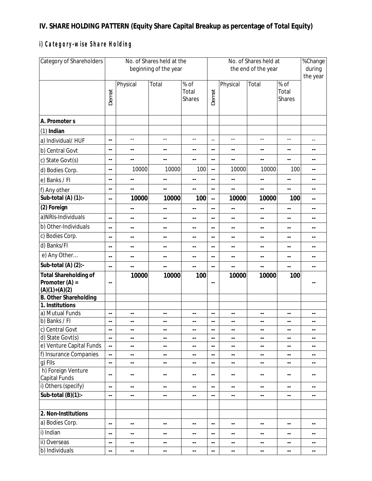# **IV. SHARE HOLDING PATTERN (Equity Share Capital Breakup as percentage of Total Equity)**

# *i) Category-wise Share Holding*

| <b>Category of Shareholders</b>                                     | No. of Shares held at the<br>beginning of the year |                          |                            |                            | No. of Shares held at<br>the end of the year         |                            |                          |                                | %Change<br>during<br>the year |
|---------------------------------------------------------------------|----------------------------------------------------|--------------------------|----------------------------|----------------------------|------------------------------------------------------|----------------------------|--------------------------|--------------------------------|-------------------------------|
|                                                                     | Demat                                              | Physical                 | Total                      | % of<br>Total<br>Shares    | Demat                                                | Physical                   | Total                    | % of<br>Total<br><b>Shares</b> |                               |
| A. Promoter s                                                       |                                                    |                          |                            |                            |                                                      |                            |                          |                                |                               |
| $(1)$ Indian                                                        |                                                    |                          |                            |                            |                                                      |                            |                          |                                |                               |
| a) Individual/HUF                                                   | $\overline{\phantom{a}}$                           | $-$                      | $-$                        | $-$                        | $\overline{\phantom{a}}$                             | $-$                        | $-$                      | $\overline{a}$                 | $\overline{\phantom{a}}$ .    |
| b) Central Govt                                                     | $\overline{\phantom{a}}$ .                         | $\overline{\phantom{a}}$ | $\overline{\phantom{a}}$   | $\overline{\phantom{a}}$   | $\overline{\phantom{a}}$ .                           | $\overline{\phantom{a}}$   | $\overline{\phantom{a}}$ | $\overline{\phantom{a}}$       | $\overline{\phantom{a}}$      |
| c) State Govt(s)                                                    | $\overline{\phantom{a}}$ .                         | $\overline{\phantom{a}}$ | $\overline{\phantom{a}}$ . | $\overline{\phantom{a}}$   | $\overline{\phantom{a}}$ .                           | $\overline{\phantom{a}}$   | $\overline{\phantom{a}}$ | $\overline{\phantom{a}}$       | $\overline{\phantom{a}}$ .    |
| d) Bodies Corp.                                                     | $\overline{\phantom{a}}$ .                         | 10000                    | 10000                      | 100                        | $\overline{a}$                                       | 10000                      | 10000                    | 100                            | $\overline{\phantom{a}}$ .    |
| e) Banks / FI                                                       | $\overline{\phantom{a}}$ .                         | --                       | $\overline{\phantom{a}}$ . | $\overline{\phantom{a}}$   | $\overline{\phantom{a}}$                             | $\overline{\phantom{a}}$   | $\overline{\phantom{m}}$ | $\overline{\phantom{a}}$       | --                            |
| f) Any other                                                        | $\overline{\phantom{a}}$ .                         | --                       | $\overline{\phantom{a}}$ . | $\overline{\phantom{a}}$   | $\overline{\phantom{a}}$ .                           | --                         | $\overline{\phantom{a}}$ | $\overline{\phantom{a}}$       | $\overline{\phantom{a}}$ .    |
| Sub-total $(A)$ $(1)$ :-                                            | $\overline{\phantom{a}}$ .                         | 10000                    | 10000                      | 100                        | $\overline{\phantom{a}}$                             | 10000                      | 10000                    | 100                            | $-$                           |
| (2) Foreign                                                         |                                                    | $\overline{\phantom{a}}$ | $\overline{\phantom{a}}$ . | $-$                        | $\overline{\phantom{a}}$                             | $\overline{\phantom{a}}$ . | $\overline{\phantom{m}}$ | $\overline{\phantom{a}}$       | $\overline{\phantom{a}}$ .    |
| a) NRIs-Individuals                                                 | $\overline{\phantom{a}}$                           | --                       | $\overline{\phantom{a}}$   | $\overline{\phantom{a}}$   | $\overline{\phantom{a}}$ .                           | $\overline{\phantom{a}}$   | $\overline{\phantom{m}}$ | $\overline{\phantom{a}}$       | $\overline{\phantom{a}}$ .    |
| b) Other-Individuals                                                | $\overline{\phantom{a}}$ .                         | --                       | $\overline{\phantom{a}}$ . | --                         | $\overline{\phantom{a}}$ .                           | $-$                        | $-$                      | $\overline{\phantom{a}}$       | $-$                           |
| c) Bodies Corp.                                                     | $\overline{\phantom{a}}$ .                         | --                       | $\overline{\phantom{a}}$ . | $-$                        | $\overline{\phantom{a}}$ .                           | $\overline{\phantom{a}}$   | $-$                      | $\overline{\phantom{a}}$ .     | $\overline{\phantom{a}}$ .    |
| d) Banks/FI                                                         | $\overline{\phantom{a}}$ .                         | --                       | $\overline{\phantom{a}}$ . | --                         | $\overline{\phantom{a}}$                             | $-$                        | $\overline{\phantom{m}}$ | $\overline{\phantom{m}}$       | $- -$                         |
| e) Any Other                                                        | $\overline{\phantom{a}}$ .                         | --                       | $\overline{\phantom{a}}$ . | $\overline{\phantom{a}}$   | $\overline{\phantom{a}}$                             | $\overline{\phantom{a}}$   | $- -$                    | $\overline{\phantom{a}}$       | --                            |
| Sub-total (A) (2):-                                                 | $\overline{\phantom{a}}$                           | $\overline{\phantom{a}}$ | --                         | $\overline{\phantom{a}}$   | --                                                   | $\overline{\phantom{a}}$   | $-$                      | $\overline{\phantom{a}}$       | $-$                           |
| <b>Total Shareholding of</b><br>Promoter $(A)$ =<br>$(A)(1)+(A)(2)$ | $\overline{\phantom{a}}$                           | 10000                    | 10000                      | 100                        | $\overline{\phantom{a}}$ .                           | 10000                      | 10000                    | 100                            | $-$                           |
| B. Other Shareholding                                               |                                                    |                          |                            |                            |                                                      |                            |                          |                                |                               |
| 1. Institutions                                                     |                                                    |                          |                            |                            |                                                      |                            |                          |                                |                               |
| a) Mutual Funds<br>b) Banks / Fl                                    | $\overline{\phantom{a}}$                           | --                       | $\overline{\phantom{a}}$   | $\overline{\phantom{a}}$   | $\overline{\phantom{a}}$                             | $\overline{\phantom{a}}$   | $\overline{\phantom{a}}$ | $\overline{\phantom{a}}$       | ٠.                            |
| c) Central Govt                                                     | $\overline{\phantom{a}}$<br>$- -$                  | --<br>$\qquad \qquad -$  | $\overline{\phantom{a}}$   | --<br>--                   | $\overline{\phantom{a}}$<br>$\overline{\phantom{a}}$ | --                         | $\overline{\phantom{a}}$ | $\overline{\phantom{a}}$       | --<br>$ -$                    |
| d) State Govt(s)                                                    | $\overline{\phantom{a}}$                           | $\overline{\phantom{a}}$ | $\overline{\phantom{a}}$ . | $-$                        | $\overline{\phantom{a}}$                             | $\overline{\phantom{a}}$   | $\overline{\phantom{m}}$ | $\overline{\phantom{a}}$       | $\overline{\phantom{a}}$ .    |
| e) Venture Capital Funds                                            | $\overline{\phantom{a}}$                           | ٠.                       | $\overline{\phantom{a}}$   | $\overline{\phantom{a}}$   | --                                                   | $\overline{\phantom{a}}$   | ۰.                       | н,                             | ٠.                            |
| f) Insurance Companies                                              | $\overline{\phantom{a}}$                           | --                       | --                         | $\overline{\phantom{a}}$   | --                                                   | --                         | $\overline{\phantom{a}}$ | $\overline{\phantom{a}}$       | $- -$                         |
| g) FIIs                                                             | $\overline{\phantom{a}}$                           | --                       | $\overline{\phantom{a}}$   | $\overline{\phantom{a}}$   | $\overline{\phantom{a}}$ .                           | --                         | $\overline{\phantom{m}}$ | $\overline{\phantom{a}}$       | --                            |
| h) Foreign Venture<br>Capital Funds                                 | $\overline{\phantom{a}}$                           | --                       | $\overline{\phantom{a}}$ . | $\overline{\phantom{a}}$   | $\overline{\phantom{a}}$ .                           | $\overline{\phantom{a}}$   | $\overline{\phantom{m}}$ | $\overline{\phantom{a}}$       | $\overline{\phantom{a}}$ .    |
| i) Others (specify)                                                 | ٠.                                                 | ۰.                       | $\overline{\phantom{a}}$   | $\overline{\phantom{a}}$   | --                                                   | $\overline{\phantom{a}}$   | $\overline{\phantom{m}}$ | ۰.                             | --                            |
| $\overline{\text{Sub-total (B)}}(1)$ :-                             | $\overline{\phantom{a}}$ .                         | --                       | $\overline{\phantom{a}}$ . | $\overline{\phantom{m}}$   | $\overline{\phantom{a}}$                             | $\overline{\phantom{a}}$   | $\overline{\phantom{a}}$ | $\overline{\phantom{m}}$       | $\overline{\phantom{a}}$      |
| 2. Non-Institutions                                                 |                                                    |                          |                            |                            |                                                      |                            |                          |                                |                               |
| a) Bodies Corp.                                                     | $\overline{\phantom{a}}$                           | --                       | $\overline{\phantom{a}}$   | $\overline{\phantom{a}}$   | --                                                   | $\overline{\phantom{a}}$   | $\overline{\phantom{a}}$ | $\overline{\phantom{a}}$       | $\overline{\phantom{a}}$ .    |
| i) Indian                                                           | $\overline{\phantom{a}}$                           | --                       | $\overline{\phantom{a}}$   | $\overline{\phantom{a}}$   | $\overline{\phantom{a}}$ .                           | $\overline{\phantom{a}}$   | $\overline{\phantom{a}}$ | ۰.                             | $\overline{\phantom{a}}$ .    |
| ii) Overseas                                                        | $\overline{\phantom{a}}$                           | --                       | $\overline{\phantom{a}}$ . | $\overline{\phantom{m}}$ . | ٠.                                                   | $\overline{\phantom{a}}$   | $\overline{\phantom{a}}$ | $\overline{\phantom{a}}$       | $\overline{\phantom{a}}$ .    |
| b) Individuals                                                      | $\overline{\phantom{a}}$ .                         | --                       | $\overline{\phantom{a}}$   | $\overline{\phantom{a}}$   | $\overline{\phantom{a}}$                             | $\overline{\phantom{a}}$   | $\overline{\phantom{a}}$ | $\overline{\phantom{a}}$       | $\overline{\phantom{a}}$ .    |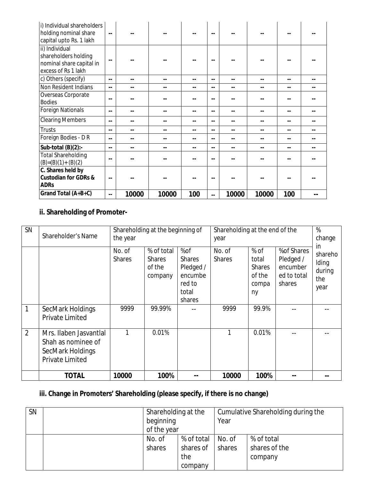| i) Individual shareholders<br>holding nominal share<br>capital upto Rs. 1 lakh | $\overline{\phantom{a}}$ |       |                          |       |       |       |       |     |  |
|--------------------------------------------------------------------------------|--------------------------|-------|--------------------------|-------|-------|-------|-------|-----|--|
| ii) Individual                                                                 |                          |       |                          |       |       |       |       |     |  |
| shareholders holding                                                           | $\overline{\phantom{a}}$ |       |                          |       |       |       |       |     |  |
| nominal share capital in                                                       |                          |       |                          |       |       |       |       |     |  |
| excess of Rs 1 lakh                                                            |                          |       |                          |       |       |       |       |     |  |
| c) Others (specify)                                                            | $-$                      | --    | $\overline{\phantom{m}}$ | --    | $- -$ | --    | --    | --  |  |
| Non Resident Indians                                                           | $-$                      | --    |                          | $-$   | $- -$ | --    |       |     |  |
| Overseas Corporate<br><b>Bodies</b>                                            | $-$                      |       |                          |       | $-$   |       |       |     |  |
| <b>Foreign Nationals</b>                                                       | $-$                      |       |                          | $- -$ | $- -$ |       |       |     |  |
| <b>Clearing Members</b>                                                        | $-$                      | --    | $ -$                     | $- -$ | $- -$ | --    | --    |     |  |
| Trusts                                                                         | $-$                      | --    |                          | $-$   | $- -$ | --    | --    |     |  |
| Foreign Bodies - D R                                                           | $\overline{a}$           | --    |                          | --    | $- -$ |       |       |     |  |
| Sub-total $(B)(2)$ :-                                                          | $-$                      | --    |                          | $-$   | $- -$ | --    | --    |     |  |
| <b>Total Shareholding</b><br>$(B)=(B)(1)+(B)(2)$                               | $-$                      |       |                          |       | --    |       |       |     |  |
| C. Shares held by                                                              |                          |       |                          |       |       |       |       |     |  |
| Custodian for GDRs &                                                           | $-$                      |       |                          |       |       |       |       |     |  |
| <b>ADRs</b>                                                                    |                          |       |                          |       |       |       |       |     |  |
| Grand Total (A+B+C)                                                            | $-$                      | 10000 | 10000                    | 100   | $-$   | 10000 | 10000 | 100 |  |

**ii. Shareholding of Promoter-**

| <b>SN</b>      | Shareholder's Name                                                                         | Shareholding at the beginning of<br>the year |                                                            |                                                                           | Shareholding at the end of the<br>year | %<br>change<br>in.                                                 |                                                               |                                           |
|----------------|--------------------------------------------------------------------------------------------|----------------------------------------------|------------------------------------------------------------|---------------------------------------------------------------------------|----------------------------------------|--------------------------------------------------------------------|---------------------------------------------------------------|-------------------------------------------|
| 1              | SecMark Holdings                                                                           | No. of<br><b>Shares</b><br>9999              | % of total<br><b>Shares</b><br>of the<br>company<br>99.99% | %of<br><b>Shares</b><br>Pledged /<br>encumbe<br>red to<br>total<br>shares | No. of<br><b>Shares</b><br>9999        | $%$ of<br>total<br><b>Shares</b><br>of the<br>compa<br>ny<br>99.9% | % of Shares<br>Pledged /<br>encumber<br>ed to total<br>shares | shareho<br>Iding<br>during<br>the<br>year |
|                | <b>Private Limited</b>                                                                     |                                              |                                                            |                                                                           |                                        |                                                                    |                                                               |                                           |
| $\overline{2}$ | Mrs. Ilaben Jasvantlal<br>Shah as nominee of<br>SecMark Holdings<br><b>Private Limited</b> |                                              | 0.01%                                                      |                                                                           |                                        | 0.01%                                                              |                                                               |                                           |
|                | <b>TOTAL</b>                                                                               | 10000                                        | 100%                                                       |                                                                           | 10000                                  | 100%                                                               |                                                               |                                           |

**iii. Change in Promoters' Shareholding (please specify, if there is no change)**

| <b>SN</b> | Shareholding at the |            | Cumulative Shareholding during the |               |  |
|-----------|---------------------|------------|------------------------------------|---------------|--|
|           | beginning           |            | Year                               |               |  |
|           | of the year         |            |                                    |               |  |
|           | No. of              | % of total | No. of                             | % of total    |  |
|           | shares              | shares of  | shares                             | shares of the |  |
|           |                     | the        |                                    | company       |  |
|           |                     | company    |                                    |               |  |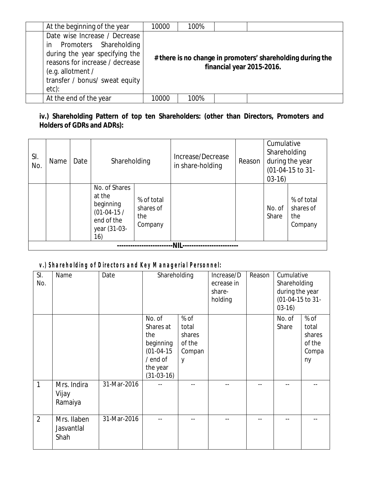| At the beginning of the year                                                                                                                                                                    | 10000 | 100% |                                                                                         |
|-------------------------------------------------------------------------------------------------------------------------------------------------------------------------------------------------|-------|------|-----------------------------------------------------------------------------------------|
| Date wise Increase / Decrease<br>in Promoters Shareholding<br>during the year specifying the<br>reasons for increase / decrease<br>(e.g. allotment /<br>transfer / bonus/ sweat equity<br>etc): |       |      | # there is no change in promoters' shareholding during the<br>financial year 2015-2016. |
| At the end of the year                                                                                                                                                                          | 10000 | 100% |                                                                                         |

**iv.) Shareholding Pattern of top ten Shareholders: (other than Directors, Promoters and Holders of GDRs and ADRs):**

| SI.<br>No. | Name | Date | Shareholding                                                                              |                                           | Increase/Decrease<br>in share-holding | Reason | Cumulative<br>Shareholding<br>$03-16$ | during the year<br>(01-04-15 to 31-       |
|------------|------|------|-------------------------------------------------------------------------------------------|-------------------------------------------|---------------------------------------|--------|---------------------------------------|-------------------------------------------|
|            |      |      | No. of Shares<br>at the<br>beginning<br>$(01-04-15/$<br>end of the<br>year (31-03-<br>16) | % of total<br>shares of<br>the<br>Company |                                       |        | No. of<br>Share                       | % of total<br>shares of<br>the<br>Company |
|            |      |      |                                                                                           |                                           |                                       |        |                                       |                                           |

# *v.) Shareholding of Directors and Key Managerial Personnel:*

| SI.<br>No.     | Name                              | Date        | Shareholding                                                                                    |                                                  | Increase/D<br>ecrease in<br>share-<br>holding | Reason | Cumulative<br>Shareholding<br>during the year<br>(01-04-15 to 31-<br>$03-16$ |                                                  |
|----------------|-----------------------------------|-------------|-------------------------------------------------------------------------------------------------|--------------------------------------------------|-----------------------------------------------|--------|------------------------------------------------------------------------------|--------------------------------------------------|
|                |                                   |             | No. of<br>Shares at<br>the<br>beginning<br>$(01-04-15)$<br>/ end of<br>the year<br>$(31-03-16)$ | % of<br>total<br>shares<br>of the<br>Compan<br>y |                                               |        | No. of<br>Share                                                              | % of<br>total<br>shares<br>of the<br>Compa<br>ny |
| 1              | Mrs. Indira<br>Vijay<br>Ramaiya   | 31-Mar-2016 |                                                                                                 | --                                               |                                               |        |                                                                              |                                                  |
| $\overline{2}$ | Mrs. Ilaben<br>Jasvantlal<br>Shah | 31-Mar-2016 |                                                                                                 |                                                  |                                               |        |                                                                              |                                                  |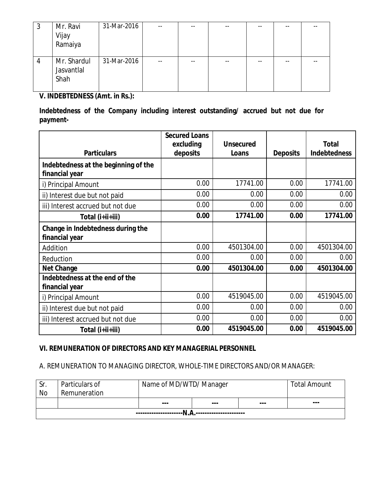| J | Mr. Ravi<br>Vijay<br>Ramaiya      | 31-Mar-2016 | --    | --    |    | $- -$ | -- |  |
|---|-----------------------------------|-------------|-------|-------|----|-------|----|--|
| 4 | Mr. Shardul<br>Jasvantlal<br>Shah | 31-Mar-2016 | $- -$ | $- -$ | -- | $- -$ |    |  |

**V. INDEBTEDNESS (Amt. in Rs.):**

**Indebtedness of the Company including interest outstanding/ accrued but not due for payment-**

|                                                        | <b>Secured Loans</b> |            |          |              |
|--------------------------------------------------------|----------------------|------------|----------|--------------|
|                                                        | excluding            | Unsecured  |          | Total        |
| Particulars                                            | deposits             | Loans      | Deposits | Indebtedness |
| Indebtedness at the beginning of the<br>financial year |                      |            |          |              |
| i) Principal Amount                                    | 0.00                 | 17741.00   | 0.00     | 17741.00     |
| ii) Interest due but not paid                          | 0.00                 | 0.00       | 0.00     | 0.00         |
| iii) Interest accrued but not due                      | 0.00                 | 0.00       | 0.00     | 0.00         |
| Total (i+ii+iii)                                       | 0.00                 | 17741.00   | 0.00     | 17741.00     |
| Change in Indebtedness during the                      |                      |            |          |              |
| financial year                                         |                      |            |          |              |
| Addition                                               | 0.00                 | 4501304.00 | 0.00     | 4501304.00   |
| Reduction                                              | 0.00                 | 0.00       | 0.00     | 0.00         |
| Net Change                                             | 0.00                 | 4501304.00 | 0.00     | 4501304.00   |
| Indebtedness at the end of the<br>financial year       |                      |            |          |              |
| i) Principal Amount                                    | 0.00                 | 4519045.00 | 0.00     | 4519045.00   |
| ii) Interest due but not paid                          | 0.00                 | 0.00       | 0.00     | 0.00         |
| iii) Interest accrued but not due                      | 0.00                 | 0.00       | 0.00     | 0.00         |
| Total (i+ii+iii)                                       | 0.00                 | 4519045.00 | 0.00     | 4519045.00   |

### **VI. REMUNERATION OF DIRECTORS AND KEY MANAGERIAL PERSONNEL**

# *A. REMUNERATION TO MANAGING DIRECTOR, WHOLE-TIME DIRECTORS AND/OR MANAGER:*

| Sr. | Particulars of | Name of MD/WTD/ Manager |  |     | <b>Total Amount</b> |
|-----|----------------|-------------------------|--|-----|---------------------|
| No  | Remuneration   |                         |  |     |                     |
|     |                | $- - -$                 |  | --- | $- - -$             |
|     |                |                         |  |     |                     |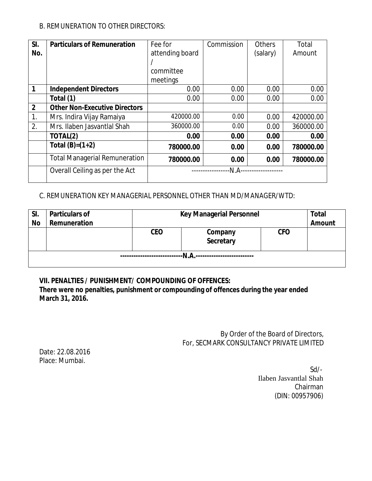### *B. REMUNERATION TO OTHER DIRECTORS:*

| SI.            | <b>Particulars of Remuneration</b>   | Fee for         | Commission | <b>Others</b> | Total     |  |
|----------------|--------------------------------------|-----------------|------------|---------------|-----------|--|
| No.            |                                      | attending board |            | (salary)      | Amount    |  |
|                |                                      |                 |            |               |           |  |
|                |                                      | committee       |            |               |           |  |
|                |                                      | meetings        |            |               |           |  |
| 1              | Independent Directors                | 0.00            | 0.00       | 0.00          | 0.00      |  |
|                | Total (1)                            | 0.00            | 0.00       | 0.00          | 0.00      |  |
| $\overline{2}$ | <b>Other Non-Executive Directors</b> |                 |            |               |           |  |
| 1.             | Mrs. Indira Vijay Ramaiya            | 420000.00       | 0.00       | 0.00          | 420000.00 |  |
| 2.             | Mrs. Ilaben Jasvantlal Shah          | 360000.00       | 0.00       | 0.00          | 360000.00 |  |
|                | TOTAL(2)                             | 0.00            | 0.00       | 0.00          | 0.00      |  |
|                | Total $(B)=(1+2)$                    | 780000.00       | 0.00       | 0.00          | 780000.00 |  |
|                | <b>Total Managerial Remuneration</b> | 780000.00       | 0.00       | 0.00          | 780000.00 |  |
|                | Overall Ceiling as per the Act       | N.A             |            |               |           |  |

### C. *REMUNERATION KEY MANAGERIAL PERSONNEL OTHER THAN MD/MANAGER/WTD*:

| SI.       | Particulars of | Key Managerial Personnel |                      |            | Total  |
|-----------|----------------|--------------------------|----------------------|------------|--------|
| <b>No</b> | Remuneration   |                          |                      |            | Amount |
|           |                | CEO                      | Company<br>Secretary | <b>CFO</b> |        |
|           |                |                          | -N.A                 |            |        |

**VII. PENALTIES / PUNISHMENT/ COMPOUNDING OF OFFENCES:**

**There were no penalties, punishment or compounding of offences during the year ended March 31, 2016.**

> By Order of the Board of Directors, For, SECMARK CONSULTANCY PRIVATE LIMITED

Date: 22.08.2016 Place: Mumbai.

Sd/- Ilaben Jasvantlal Shah Chairman (DIN[: 00957906\)](http://www.mca.gov.in/mcafoportal/companyLLPMasterData.do)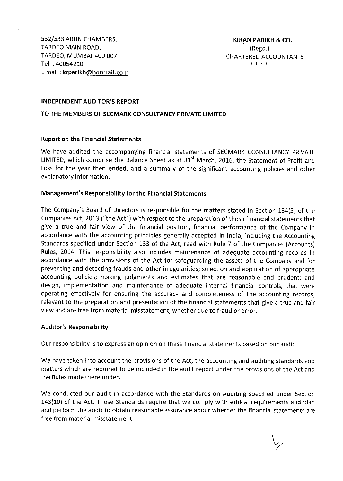532/533 ARUN CHAMBERS, TARDEO MAIN ROAD. TARDEO, MUMBAI-400 007. Tel.: 40054210 E mail: krparikh@hotmail.com

#### **INDEPENDENT AUDITOR'S REPORT**

#### TO THE MEMBERS OF SECMARK CONSULTANCY PRIVATE LIMITED

#### **Report on the Financial Statements**

We have audited the accompanying financial statements of SECMARK CONSULTANCY PRIVATE LIMITED, which comprise the Balance Sheet as at 31<sup>st</sup> March, 2016, the Statement of Profit and Loss for the year then ended, and a summary of the significant accounting policies and other explanatory information.

#### Management's Responsibility for the Financial Statements

The Company's Board of Directors is responsible for the matters stated in Section 134(5) of the Companies Act, 2013 ("the Act") with respect to the preparation of these financial statements that give a true and fair view of the financial position, financial performance of the Company in accordance with the accounting principles generally accepted in India, including the Accounting Standards specified under Section 133 of the Act, read with Rule 7 of the Companies (Accounts) Rules, 2014. This responsibility also includes maintenance of adequate accounting records in accordance with the provisions of the Act for safeguarding the assets of the Company and for preventing and detecting frauds and other irregularities; selection and application of appropriate accounting policies; making judgments and estimates that are reasonable and prudent; and design, implementation and maintenance of adequate internal financial controls, that were operating effectively for ensuring the accuracy and completeness of the accounting records, relevant to the preparation and presentation of the financial statements that give a true and fair view and are free from material misstatement, whether due to fraud or error.

#### **Auditor's Responsibility**

Our responsibility is to express an opinion on these financial statements based on our audit.

We have taken into account the provisions of the Act, the accounting and auditing standards and matters which are required to be included in the audit report under the provisions of the Act and the Rules made there under.

We conducted our audit in accordance with the Standards on Auditing specified under Section 143(10) of the Act. Those Standards require that we comply with ethical requirements and plan and perform the audit to obtain reasonable assurance about whether the financial statements are free from material misstatement.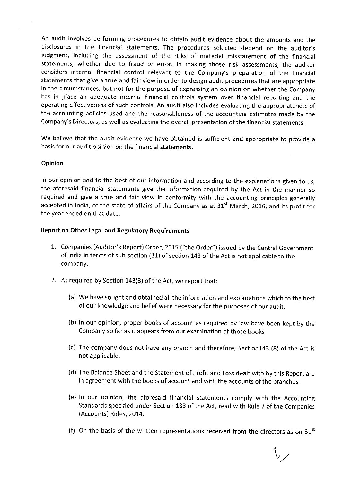An audit involves performing procedures to obtain audit evidence about the amounts and the disclosures in the financial statements. The procedures selected depend on the auditor's judgment, including the assessment of the risks of material misstatement of the financial statements, whether due to fraud or error. In making those risk assessments, the auditor considers internal financial control relevant to the Company's preparation of the financial statements that give a true and fair view in order to design audit procedures that are appropriate in the circumstances, but not for the purpose of expressing an opinion on whether the Company has in place an adequate internal financial controls system over financial reporting and the operating effectiveness of such controls. An audit also includes evaluating the appropriateness of the accounting policies used and the reasonableness of the accounting estimates made by the Company's Directors, as well as evaluating the overall presentation of the financial statements.

We believe that the audit evidence we have obtained is sufficient and appropriate to provide a basis for our audit opinion on the financial statements.

#### Opinion

In our opinion and to the best of our information and according to the explanations given to us, the aforesaid financial statements give the information required by the Act in the manner so required and give a true and fair view in conformity with the accounting principles generally accepted in India, of the state of affairs of the Company as at 31<sup>st</sup> March, 2016, and its profit for the year ended on that date.

#### Report on Other Legal and Regulatory Requirements

- 1. Companies (Auditor's Report) Order, 2015 ("the Order") issued by the Central Government of India in terms of sub-section (11) of section 143 of the Act is not applicable to the company.
- 2. As required by Section 143(3) of the Act, we report that:
	- (a) We have sought and obtained all the information and explanations which to the best of our knowledge and belief were necessary for the purposes of our audit.
	- (b) In our opinion, proper books of account as required by law have been kept by the Company so far as it appears from our examination of those books
	- (c) The company does not have any branch and therefore, Section143 (8) of the Act is not applicable.
	- (d) The Balance Sheet and the Statement of Profit and Loss dealt with by this Report are in agreement with the books of account and with the accounts of the branches.
	- (e) In our opinion, the aforesaid financial statements comply with the Accounting Standards specified under Section 133 of the Act, read with Rule 7 of the Companies (Accounts) Rules, 2014.
	- (f) On the basis of the written representations received from the directors as on 31<sup>st</sup>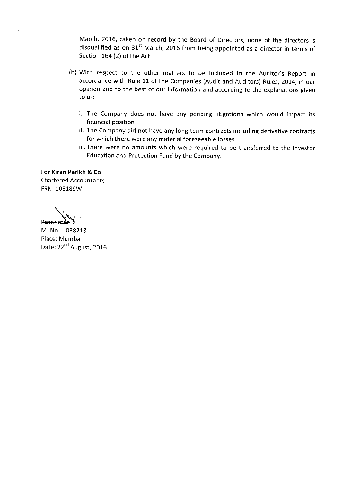March, 2016, taken on record by the Board of Directors, none of the directors is disqualified as on 31<sup>st</sup> March, 2016 from being appointed as a director in terms of Section 164 (2) of the Act.

- (h) With respect to the other matters to be included in the Auditor's Report in accordance with Rule 11 of the Companies (Audit and Auditors) Rules, 2014, in our opinion and to the best of our information and according to the explanations given to us:
	- i. The Company does not have any pending litigations which would impact its financial position
	- ii. The Company did not have any long-term contracts including derivative contracts for which there were any material foreseeable losses.
	- iii. There were no amounts which were required to be transferred to the Investor Education and Protection Fund by the Company.

For Kiran Parikh & Co **Chartered Accountants** FRN: 105189W

**Rroprietar** 

M. No.: 038218 Place: Mumbai Date: 22<sup>nd</sup> August, 2016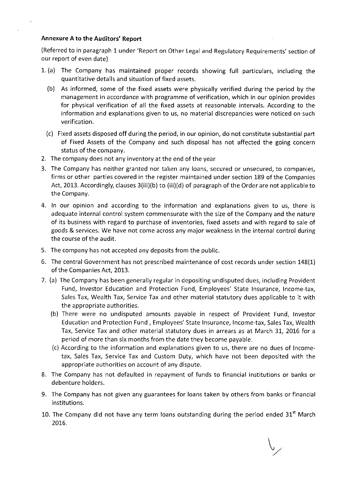#### **Annexure A to the Auditors' Report**

(Referred to in paragraph 1 under 'Report on Other Legal and Regulatory Requirements' section of our report of even date)

- 1. (a) The Company has maintained proper records showing full particulars, including the quantitative details and situation of fixed assets.
	- (b) As informed, some of the fixed assets were physically verified during the period by the management in accordance with programme of verification, which in our opinion provides for physical verification of all the fixed assets at reasonable intervals. According to the information and explanations given to us, no material discrepancies were noticed on such verification.
	- (c) Fixed assets disposed off during the period, in our opinion, do not constitute substantial part of Fixed Assets of the Company and such disposal has not affected the going concern status of the company.
- 2. The company does not any inventory at the end of the year
- 3. The Company has neither granted nor taken any loans, secured or unsecured, to companies, firms or other parties covered in the register maintained under section 189 of the Companies Act, 2013. Accordingly, clauses 3(iii)(b) to (iii)(d) of paragraph of the Order are not applicable to the Company.
- 4. In our opinion and according to the information and explanations given to us, there is adequate internal control system commensurate with the size of the Company and the nature of its business with regard to purchase of inventories, fixed assets and with regard to sale of goods & services. We have not come across any major weakness in the internal control during the course of the audit.
- 5. The company has not accepted any deposits from the public.
- 6. The central Government has not prescribed maintenance of cost records under section 148(1) of the Companies Act, 2013.
- 7. (a) The Company has been generally regular in depositing undisputed dues, including Provident Fund, Investor Education and Protection Fund, Employees' State Insurance, Income-tax, Sales Tax, Wealth Tax, Service Tax and other material statutory dues applicable to it with the appropriate authorities.
	- (b) There were no undisputed amounts payable in respect of Provident Fund, Investor Education and Protection Fund, Employees' State Insurance, Income-tax, Sales Tax, Wealth Tax, Service Tax and other material statutory dues in arrears as at March 31, 2016 for a period of more than six months from the date they become payable.
	- (c) According to the information and explanations given to us, there are no dues of Incometax, Sales Tax, Service Tax and Custom Duty, which have not been deposited with the appropriate authorities on account of any dispute.
- 8. The Company has not defaulted in repayment of funds to financial institutions or banks or debenture holders.
- 9. The Company has not given any guarantees for loans taken by others from banks or financial institutions.
- 10. The Company did not have any term loans outstanding during the period ended 31<sup>st</sup> March 2016.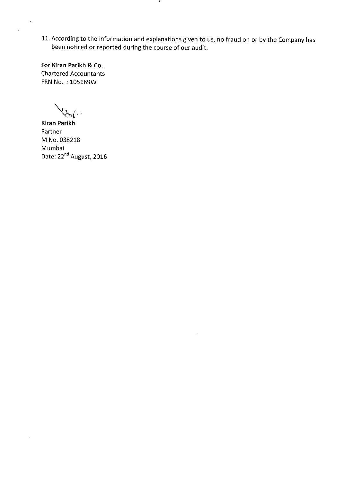11. According to the information and explanations given to us, no fraud on or by the Company has been noticed or reported during the course of our audit.

-11

For Kiran Parikh & Co.. **Chartered Accountants** FRN No. : 105189W

ฟ⊷

**Kiran Parikh** Partner M No. 038218 Mumbai Date: 22<sup>nd</sup> August, 2016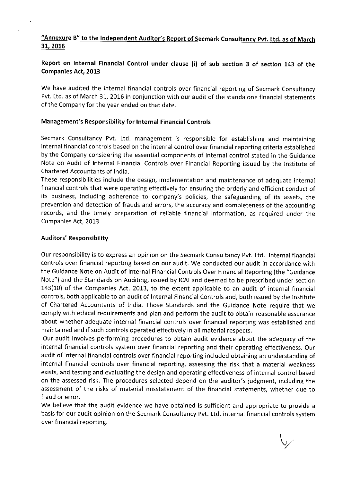### "Annexure B" to the Independent Auditor's Report of Secmark Consultancy Pvt. Ltd. as of March 31, 2016

### Report on Internal Financial Control under clause (i) of sub section 3 of section 143 of the **Companies Act, 2013**

We have audited the internal financial controls over financial reporting of Secmark Consultancy Pvt. Ltd. as of March 31, 2016 in conjunction with our audit of the standalone financial statements of the Company for the year ended on that date.

#### Management's Responsibility for Internal Financial Controls

Secmark Consultancy Pvt. Ltd. management is responsible for establishing and maintaining internal financial controls based on the internal control over financial reporting criteria established by the Company considering the essential components of internal control stated in the Guidance Note on Audit of Internal Financial Controls over Financial Reporting issued by the Institute of Chartered Accountants of India.

These responsibilities include the design, implementation and maintenance of adequate internal financial controls that were operating effectively for ensuring the orderly and efficient conduct of its business, including adherence to company's policies, the safeguarding of its assets, the prevention and detection of frauds and errors, the accuracy and completeness of the accounting records, and the timely preparation of reliable financial information, as required under the Companies Act, 2013.

#### **Auditors' Responsibility**

Our responsibility is to express an opinion on the Secmark Consultancy Pvt. Ltd. Internal financial controls over financial reporting based on our audit. We conducted our audit in accordance with the Guidance Note on Audit of Internal Financial Controls Over Financial Reporting (the "Guidance Note") and the Standards on Auditing, issued by ICAI and deemed to be prescribed under section 143(10) of the Companies Act, 2013, to the extent applicable to an audit of internal financial controls, both applicable to an audit of Internal Financial Controls and, both issued by the Institute of Chartered Accountants of India. Those Standards and the Guidance Note require that we comply with ethical requirements and plan and perform the audit to obtain reasonable assurance about whether adequate internal financial controls over financial reporting was established and maintained and if such controls operated effectively in all material respects.

Our audit involves performing procedures to obtain audit evidence about the adequacy of the internal financial controls system over financial reporting and their operating effectiveness. Our audit of internal financial controls over financial reporting included obtaining an understanding of internal financial controls over financial reporting, assessing the risk that a material weakness exists, and testing and evaluating the design and operating effectiveness of internal control based on the assessed risk. The procedures selected depend on the auditor's judgment, including the assessment of the risks of material misstatement of the financial statements, whether due to fraud or error.

We believe that the audit evidence we have obtained is sufficient and appropriate to provide a basis for our audit opinion on the Secmark Consultancy Pvt. Ltd. internal financial controls system over financial reporting.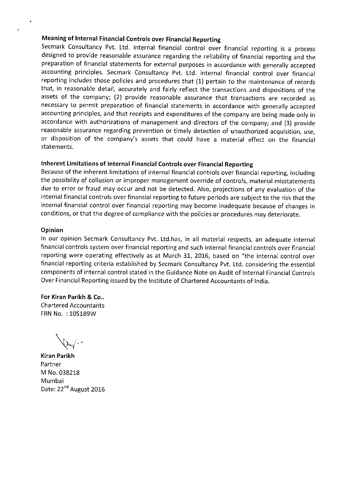#### Meaning of Internal Financial Controls over Financial Reporting

Secmark Consultancy Pvt. Ltd. internal financial control over financial reporting is a process designed to provide reasonable assurance regarding the reliability of financial reporting and the preparation of financial statements for external purposes in accordance with generally accepted accounting principles. Secmark Consultancy Pvt. Ltd. internal financial control over financial reporting includes those policies and procedures that (1) pertain to the maintenance of records that, in reasonable detail, accurately and fairly reflect the transactions and dispositions of the assets of the company; (2) provide reasonable assurance that transactions are recorded as necessary to permit preparation of financial statements in accordance with generally accepted accounting principles, and that receipts and expenditures of the company are being made only in accordance with authorizations of management and directors of the company; and (3) provide reasonable assurance regarding prevention or timely detection of unauthorized acquisition, use, or disposition of the company's assets that could have a material effect on the financial statements.

### Inherent Limitations of Internal Financial Controls over Financial Reporting

Because of the inherent limitations of internal financial controls over financial reporting, including the possibility of collusion or improper management override of controls, material misstatements due to error or fraud may occur and not be detected. Also, projections of any evaluation of the internal financial controls over financial reporting to future periods are subject to the risk that the internal financial control over financial reporting may become inadequate because of changes in conditions, or that the degree of compliance with the policies or procedures may deteriorate.

#### Opinion

In our opinion Secmark Consultancy Pvt. Ltd.has, in all material respects, an adequate internal financial controls system over financial reporting and such internal financial controls over financial reporting were operating effectively as at March 31, 2016, based on "the internal control over financial reporting criteria established by Secmark Consultancy Pvt. Ltd. considering the essential components of internal control stated in the Guidance Note on Audit of Internal Financial Controls Over Financial Reporting issued by the Institute of Chartered Accountants of India.

For Kiran Parikh & Co., **Chartered Accountants** FRN No.: 105189W

**Kiran Parikh** Partner M No. 038218 Mumbai Date: 22<sup>nd</sup> August 2016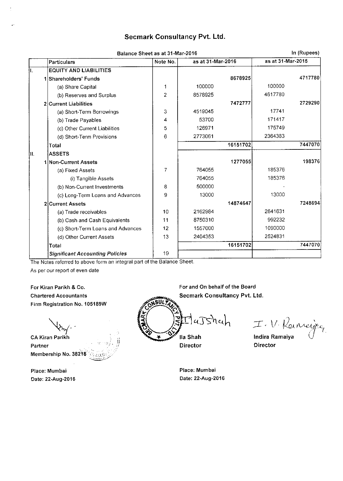### **Secmark Consultancy Pvt. Ltd.**

|      | Balance Sheet as at 31-Mar-2016        |                |                   | In (Rupees) |                   |         |
|------|----------------------------------------|----------------|-------------------|-------------|-------------------|---------|
|      | Particulars                            | Note No.       | as at 31-Mar-2016 |             | as at 31-Mar-2015 |         |
| II.  | <b>EQUITY AND LIABILITIES</b>          |                |                   |             |                   |         |
|      | 1 Shareholders' Funds                  |                |                   | 8678925     |                   | 4717780 |
|      | (a) Share Capital                      |                | 100000            |             | 100000            |         |
|      | (b) Reserves and Surplus               | 2              | 8578925           |             | 4617780           |         |
|      | 2 Current Liabilities                  |                |                   | 7472777     |                   | 2729290 |
|      | (a) Short-Term Borrowings              | 3              | 4519045           |             | 17741             |         |
|      | (b) Trade Payables                     | 4              | 53700             |             | 171417            |         |
|      | (c) Other Current Liabilities          | 5              | 126971            |             | 175749            |         |
|      | (d) Short-Term Provisions              | 6              | 2773061           |             | 2364383           |         |
|      | Total                                  |                |                   | 16151702    |                   | 7447070 |
| III. | <b>ASSETS</b>                          |                |                   |             |                   |         |
|      | 1 Non-Current Assets                   |                |                   | 1277055     |                   | 198376  |
|      | (a) Fixed Assets                       | $\overline{7}$ | 764055            |             | 185376            |         |
|      | (i) Tangible Assets                    |                | 764055            |             | 185376            |         |
|      | (b) Non-Current Investments            | 8              | 500000            |             |                   |         |
|      | (c) Long-Term Loans and Advances       | 9              | 13000             |             | 13000             |         |
|      | 2 Current Assets                       |                |                   | 14874647    |                   | 7248694 |
|      | (a) Trade receivables                  | 10             | 2162984           |             | 2641631           |         |
|      | (b) Cash and Cash Equivalents          | 11             | 8750310           |             | 992232            |         |
|      | (c) Short-Term Loans and Advances      | 12             | 1557000           |             | 1090000           |         |
|      | (d) Other Current Assets               | 13             | 2404353           |             | 2524831           |         |
|      | Total                                  |                |                   | 16151702    |                   | 7447070 |
|      | <b>Significant Accounting Policies</b> | 19             |                   |             |                   |         |

The Notes referred to above form an integral part of the Balance Sheet.

-anti

As per our report of even date

For Kiran Parikh & Co. **Chartered Accountants** Firm Registration No. 105189W

**CA Kiran Parikh** Partner Membership No. 38218

Place: Mumbai Date: 22-Aug-2016

For and On behalf of the Board Secmark Consultancy Pvt. Ltd. HaJshah Ila Shah ×

Director

I. V. Ranneijec Indira Ramaiya

**Director** 

Place: Mumbai Date: 22-Aug-2016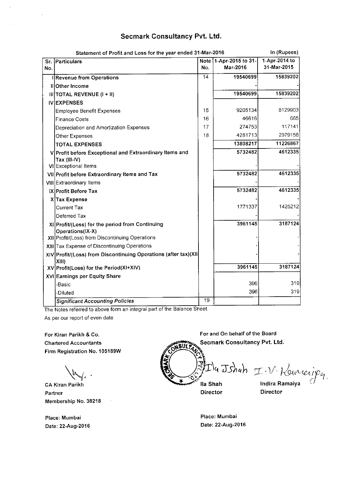### Secmark Consultancy Pvt. Ltd.

|            | In (Rupees)<br>Statement of Profit and Loss for the year ended 31-Mar-2016 |                 |                                    |                              |  |  |
|------------|----------------------------------------------------------------------------|-----------------|------------------------------------|------------------------------|--|--|
| Sr.<br>No. | Particulars                                                                | No.             | Note 1-Apr-2015 to 31-<br>Mar-2016 | 1-Apr-2014 to<br>31-Mar-2015 |  |  |
|            | <b>Revenue from Operations</b>                                             | 14              | 19540699                           | 15839202                     |  |  |
|            | II Other Income                                                            |                 |                                    |                              |  |  |
|            | $III$   TOTAL REVENUE (1 + 11)                                             |                 | 19540699                           | 15839202                     |  |  |
|            | <b>IVIEXPENSES</b>                                                         |                 |                                    |                              |  |  |
|            | <b>Employee Benefit Expenses</b>                                           | 15              | 9205134                            | 8129903                      |  |  |
|            | <b>Finance Costs</b>                                                       | 16              | 46616                              | 665                          |  |  |
|            | Depreciation and Amortization Expenses                                     | 17              | 274753                             | 117141                       |  |  |
|            | Other Expenses                                                             | 18              | 4281713                            | 2979158                      |  |  |
|            | <b>TOTAL EXPENSES</b>                                                      |                 | 13808217                           | 11226867                     |  |  |
|            | V Profit before Exceptional and Extraordinary Items and<br>Tax (III-IV)    |                 | 5732482                            | 4612335                      |  |  |
|            | VI Exceptional Items                                                       |                 |                                    | 4612335                      |  |  |
|            | VII Profit before Extraordinary Items and Tax                              |                 | 5732482                            |                              |  |  |
|            | VIII Extraordinary Items                                                   |                 |                                    |                              |  |  |
|            | IX Profit Before Tax                                                       |                 | 5732482                            | 4612335                      |  |  |
|            | X Tax Expense                                                              |                 |                                    |                              |  |  |
|            | <b>Current Tax</b>                                                         |                 | 1771337                            | 1425212                      |  |  |
|            | Deferred Tax                                                               |                 |                                    |                              |  |  |
|            | XI Profit/(Loss) for the period from Continuing<br>Operations(IX-X)        |                 | 3961145                            | 3187124                      |  |  |
|            | XII Profit/(Loss) from Discontinuing Operations                            |                 |                                    |                              |  |  |
|            | XIII Tax Expense of Discontinuing Operations                               |                 |                                    |                              |  |  |
|            | XIV Profit/(Loss) from Discontinuing Operations (after tax)(XII<br>XIII)   |                 |                                    |                              |  |  |
|            | XV Profit(Loss) for the Period(XI+XIV)                                     |                 | 3961145                            | 3187124                      |  |  |
|            | XVI Earnings per Equity Share                                              |                 |                                    |                              |  |  |
|            | -Basic                                                                     |                 | 396                                | 319                          |  |  |
|            | -Diluted                                                                   |                 | 396                                | 319                          |  |  |
|            | <b>Significant Accounting Policies</b>                                     | $\overline{19}$ |                                    |                              |  |  |

The Notes referred to above form an integral part of the Balance Sheet. As per our report of even date

 $\sim$ 

For Kiran Parikh & Co. **Chartered Accountants** Firm Registration No. 105189W

CA Kiran Parikh Partner Membership No. 38218

Place: Mumbai Date: 22-Aug-2016 Secmark Consultancy Pvt. Ltd. Ila Jshah I.V. Rouneijeg

For and On behalf of the Board

Ila Shah Director

**Indira Ramaiya** 

**Director** 

Place: Mumbai Date: 22-Aug-2016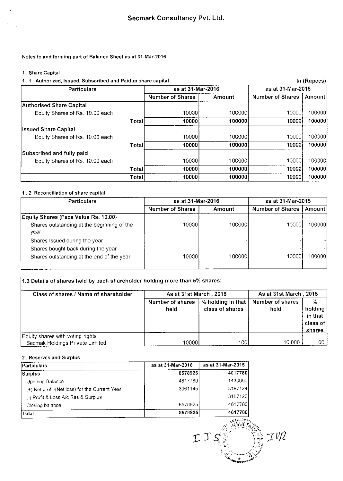#### Notes to and forming part of Balance Sheet as at 31-Mar-2016

#### 1. Share Capital

 $\bar{z}$ 

#### 1.1 Authorized, Issued, Subscribed and Paidup share capital

| Authorized, Issued, Subscribed and Paidup share capital<br>1.1 |        |                         | In (Rupees) |                         |        |  |
|----------------------------------------------------------------|--------|-------------------------|-------------|-------------------------|--------|--|
| <b>Particulars</b>                                             |        | as at 31-Mar-2016       |             | as at 31-Mar-2015       |        |  |
|                                                                |        | <b>Number of Shares</b> | Amount      | <b>Number of Shares</b> | Amount |  |
| <b>Authorised Share Capital</b>                                |        |                         |             |                         |        |  |
| Equity Shares of Rs. 10.00 each                                |        | 10000                   | 100000      | 10000                   | 100000 |  |
|                                                                | Total  | 10000                   | 100000      | 10000                   | 100000 |  |
| <b>Issued Share Capital</b>                                    |        |                         |             |                         |        |  |
| Equity Shares of Rs. 10.00 each                                |        | 10000                   | 100000      | 10000                   | 100000 |  |
|                                                                | Totall | 100001                  | 100000      | 10000i                  | 100000 |  |
| Subscribed and fully paid                                      |        |                         |             |                         |        |  |
| Equity Shares of Rs. 10.00 each                                |        | 100001                  | 100000      | 100001                  | 100000 |  |
|                                                                | Totall | 10000                   | 100000      | 10000                   | 100000 |  |
|                                                                | Total  | 10000                   | 100000      | 10000                   | 100000 |  |

#### 1.2 Reconciliation of share capital

| <b>Particulars</b>                                 | as at 31-Mar-2016       |         | as at 31 Mar-2015       |          |  |
|----------------------------------------------------|-------------------------|---------|-------------------------|----------|--|
|                                                    | <b>Number of Shares</b> | Amount  | <b>Number of Shares</b> | Amount l |  |
| <b>Equity Shares (Face Value Rs. 10.00)</b>        |                         |         |                         |          |  |
| Shares outstanding at the beginning of the<br>vear | 10000l                  | 1000001 | 10000                   | 1000001  |  |
| Shares Issued during the year                      |                         |         |                         |          |  |
| Shares bought back during the year                 |                         |         |                         |          |  |
| Shares outstanding at the end of the year          | 10000                   | 1000001 | 10000 <b>1</b>          | 100000   |  |

# 1.3 Details of shares held by each shareholder holding more than 5% shares:

| Class of shares / Name of shareholder                               | As at 31st March, 2016   |                                          | As at 31st March, 2015   |                                                                               |  |
|---------------------------------------------------------------------|--------------------------|------------------------------------------|--------------------------|-------------------------------------------------------------------------------|--|
|                                                                     | Number of shares<br>held | % holding in that $ $<br>class of shares | Number of shares<br>held | $\frac{0}{6}$<br>holding $ $<br>in that<br>class of <b>i</b><br><u>shares</u> |  |
| Equity shares with voting rights<br>Secmak Holdings Private Limited | 10000 <b>I</b>           | 100                                      | 10,000                   | 100.                                                                          |  |

#### 2. Reserves and Surplus

| <b>Particulars</b>                             | as at 31-Mar-2016 | as at 31-Mar-2015 |
|------------------------------------------------|-------------------|-------------------|
| Surplus                                        | 8578925           | 4617780           |
| Opening Balance                                | 4617780           | 1430656           |
| (+) Net profit/(Net loss) for the Current Year | 3961145           | 3187124           |
| (-) Profit & Loss A/c Res & Surplus            |                   | $-3187123$        |
| Closing balance                                | 8578925           | 4617780           |
| Total                                          | 8578925           | 4617780           |

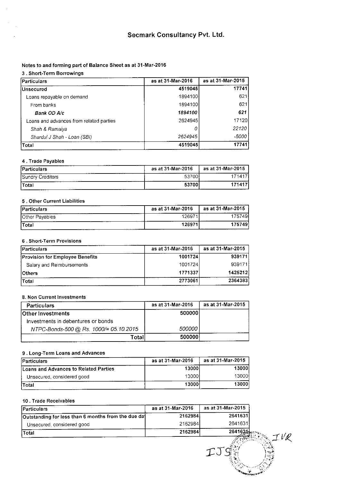#### Notes to and forming part of Balance Sheet as at 31-Mar-2016

#### 3. Short-Term Borrowings

| Particulars                             | as at 31-Mar-2016 | as at 31-Mar-2015 |
|-----------------------------------------|-------------------|-------------------|
| <b>Unsecured</b>                        | 4519045           | 17741             |
| Loans repayable on demand               | 1894100           | 621               |
| From banks                              | 1894100           | 621               |
| Bank OD A/c                             | 1894100           | 621               |
| Loans and advances from related parties | 2624945           | 17120             |
| Shah & Ramaiya                          |                   | 22120             |
| Shardul J Shah - Loan (SBI)             | 2624945           | $-5000$           |
| <b>Total</b>                            | 4519045           | 17741             |

#### 4. Trade Payables

| <b>!Particulars</b>     | as at 31-Mar-2016<br>-------- | as at 31-Mar-2015 |
|-------------------------|-------------------------------|-------------------|
| <b>Sundry Creditors</b> | 53700                         | 171417            |
| <b>Total</b>            | 53700                         | 171417            |

#### 5. Other Current Liabilities

| <b>Particulars</b> | as at 31-Mar-2016 | as at 31-Mar-2015 |
|--------------------|-------------------|-------------------|
| Other Payables     | 126971            | 757491            |
| Total              | 126971            | 175749            |

#### 6. Short-Term Provisions

| <b>Particulars</b>                     | as at 31-Mar-2016 | as at 31-Mar-2015 |
|----------------------------------------|-------------------|-------------------|
| <b>Provision for Employee Benefits</b> | 1001724           | 939171            |
| Salary and Reimbursements              | 1001724           | 939171            |
| <b>IOthers</b>                         | 1771337           | 1425212           |
| Total                                  | 2773061           | 2364383           |

#### 8. Non Current Investments

| <b>Particulars</b>                     | as at 31-Mar-2016 | as at 31-Mar-2015 |
|----------------------------------------|-------------------|-------------------|
| <b>Other Investments</b>               | 5000001           |                   |
| Investments in debentures or bonds     |                   |                   |
| NTPC-Bonds-500 @ Rs. 1000/= 05.10.2015 | 500000 l          |                   |
| Total                                  | 500000            |                   |

#### 9. Long-Term Loans and Advances

| Particulars                           | as at 31-Mar-2016 | as at 31-Mar-2015 |
|---------------------------------------|-------------------|-------------------|
| Loans and Advances to Related Parties | 13000l            | 130001            |
| Unsecured, considered good            | 130001            | 130001            |
| <b>Total</b>                          | 13000             | 13000             |

#### 10. Trade Receivables

| Particulars                                        | as at 31-Mar-2016 | as at 31-Mar-2015 |
|----------------------------------------------------|-------------------|-------------------|
| Outstanding for less than 6 months from the due da | 2162984           | 2641631           |
| Unsecured, considered good                         | 2162984           | 2641631           |
| <b>Total</b>                                       | 2162984           | $2641634 =$       |
|                                                    |                   |                   |

 $W\llap{\ell}$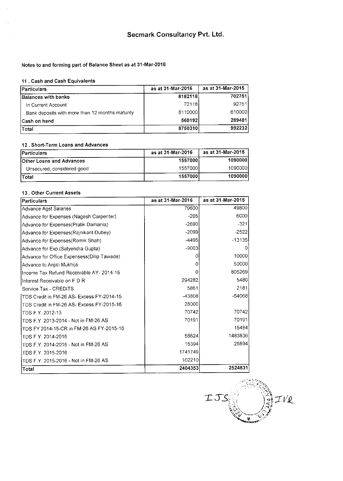#### Notes to and forming part of Balance Sheet as at 31-Mar-2016

#### 11, Cash and Cash Equivalents

| <b>IParticulars</b>                             | as at 31-Mar-2016 | as at 31-Mar-2015 |
|-------------------------------------------------|-------------------|-------------------|
| <b>Balances with banks</b>                      | 8182118           | 702751            |
| In Current Account                              | 72118             | 92751             |
| Bank deposits with more than 12 months maturity | 8110000           | 610000            |
| <b>ICash on hand</b>                            | 568192            | 289481            |
| Total                                           | 8750310           | 992232            |

#### 12. Short-Term Loans and Advances

| <b>IParticulars</b>             | as at 31-Mar-2016 | as at 31-Mar-2015 |
|---------------------------------|-------------------|-------------------|
| <b>Other Loans and Advances</b> | 1557000           | 10900001          |
| Unsecured, considered good      | 1557000           | 10900001          |
| Total                           | 1557000           | 1090000           |

#### 13. Other Current Assets

| Particulars                                 | as at 31-Mar-2016 | as at 31-Mar-2015 |
|---------------------------------------------|-------------------|-------------------|
| <b>Advance Agst Salaries</b>                | 79600             | 49800             |
| Advance for Expenses (Nagesh Carpenter)     | $-205$            | 6000              |
| Advance for Expenses (Pratik Damania)       | $-2690$           | $-321$            |
| Advance for Expenses(Rajnikant Dubey)       | $-2099$           | $-2522$           |
| Advance for Expenses(Romik Shah)            | $-4495$           | $-13135$          |
| Advance for Exp.(Satyendra Gupta)           | $-9003$           |                   |
| Advance for Office Expensess (Dilip Tawade) |                   | 10000             |
| Advance to Anjali Mukhija                   | 0                 | 50000             |
| Income Tax Refund Receivable AY-2014-15     | 0                 | 805269            |
| IInterest Receivable on F D R               | 294282            | 5480              |
| Service Tax - CREDITS                       | 5861              | 2181              |
| TDS Credit in FM-26 AS- Excess FY-2014-15   | -43808            | -54068            |
| TDS Credit in FM-26 AS- Excess FY-2015-16   | 28000             |                   |
| TDS F.Y. 2012-13                            | 70742             | 70742             |
| TDS F Y 2013-2014 - Not in FM-26 AS         | 70191             | 70191             |
| TDS FY 2014-15-CR in FM-26 AS FY-2015-16    |                   | 15484             |
| TDS F.Y. 2014-2015                          | 58624             | 1483836           |
| TDS F.Y. 2014-2015 - Not in FM-26 AS        | 15394             | 25894             |
| TDS F.Y. 2015-2016                          | 1741749           |                   |
| TDS F.Y. 2015-2016 - Not in FM-26 AS        | 102210            |                   |
| Total                                       | 2404353           | 2524831           |

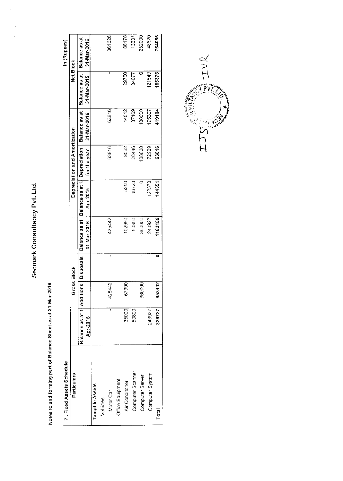Secmark Consultancy Pvt. Ltd.

 $\frac{1}{2}$ 

 $\hat{\mathcal{C}}$ 

Notes to and forming part of Balance Sheet as at 31-Mar-2016

| Ċ  |
|----|
| S  |
|    |
| t. |
| ţ  |
|    |
|    |
|    |
| ٢  |
|    |
|    |
|    |
|    |
| í. |

| 7 Fixed Assets Schedule |                                        |                    |   |               |                              |                               |               |               | In (Rupees)   |
|-------------------------|----------------------------------------|--------------------|---|---------------|------------------------------|-------------------------------|---------------|---------------|---------------|
| Particulars             |                                        | <b>Gross Block</b> |   |               |                              | Depreciation and Amortization |               | Net Block     |               |
|                         | Balance as at 1  Additions   Disposals |                    |   | Balance as at | Balance as at 1 Depreciation |                               | Balance as at | Balance as at | Balance as at |
|                         | Apr-2015                               |                    |   | 31-Mar-2016   | Apr-2015                     | for the year                  | 31-Mar-2016   | 31-Mar-2015   | 31-Mar-2016   |
| Tangible Assets         |                                        |                    |   |               |                              |                               |               |               |               |
| Vehicles                |                                        |                    |   |               |                              |                               |               |               |               |
| Motor Car               | j.                                     | 425442             | ı | 425442        |                              | 63816                         | 63816         | ŧ             | 361626        |
| Office Equipment        |                                        |                    |   |               |                              |                               |               |               |               |
| Air Conditaner          | 35000                                  | 67990              |   | 02990         | 5250                         | 9562                          | 14812         | 29750         | 88178         |
| Computer Scanner        | 50800                                  |                    |   | 50800         | 16723                        | 20446                         | 37169         | 34077         | 13631         |
| Computer Server         |                                        | 360000             |   | 360000        |                              | 08000                         | 08000         |               | 252000        |
| Computer System         | 243927                                 | ī                  | ı | 243927        | 122378                       | 72929                         | 195307        | 121549        | 48620         |
| Total                   | 329727                                 | 853432             |   | 1183159       | 144351                       | 63816                         | 419104        | 185376        | 764055        |

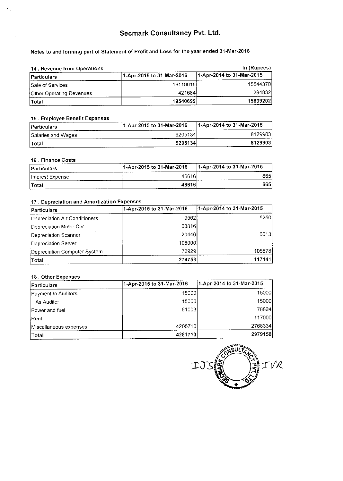# Secmark Consultancy Pvt. Ltd.

Notes to and forming part of Statement of Profit and Loss for the year ended 31-Mar-2016

| 14. Revenue from Operations |                           | In (Rupees)               |
|-----------------------------|---------------------------|---------------------------|
| <b>Particulars</b>          | 1-Apr-2015 to 31-Mar-2016 | 1-Apr-2014 to 31-Mar-2015 |
| <b>Sale of Services</b>     | 19119015                  | 15544370                  |
| Other Operating Revenues    | 421684                    | 294832                    |
| Total                       | 19540699                  | 158392021                 |

#### 15. Employee Benefit Expenses

| <b>IParticulars</b>       | 1-Apr-2015 to 31-Mar-2016 | 11-Apr-2014 to 31-Mar-2015 |
|---------------------------|---------------------------|----------------------------|
| <b>Salaries and Wages</b> | 92051341                  | 8129903                    |
| lTotal                    | 9205134                   | 8129903                    |

#### 16. Finance Costs

| <b>Particulars</b> | 11-Apr-2015 to 31-Mar-2016 | 1-Apr-2014 to 31-Mar-2015 |
|--------------------|----------------------------|---------------------------|
| Interest Expense   | 46616                      | 665I                      |
| lTotal             | 46616                      | 6651                      |

#### 17. Depreciation and Amortization Expenses

| Particulars                   | 1-Apr-2015 to 31-Mar-2016 | 1-Apr-2014 to 31-Mar-2015 |  |
|-------------------------------|---------------------------|---------------------------|--|
| Depreciation Air Conditioners | 9562                      | 52501                     |  |
| Depreciation Motor Car        | 63816                     |                           |  |
| Depreciation Scanner          | 20446                     | 6013                      |  |
| Depreciation Server           | 1080001                   |                           |  |
| Depreciation Computer System  | 72929                     | 105878                    |  |
| Total                         | 274753                    | 117141                    |  |

#### 18. Other Expenses

| <b>Particulars</b>         | 1-Apr-2015 to 31-Mar-2016 | 1-Apr-2014 to 31-Mar-2015 |  |
|----------------------------|---------------------------|---------------------------|--|
| <b>Payment to Auditors</b> | 15000                     | 15000                     |  |
| As Auditor                 | 15000                     | 15000                     |  |
| IPower and fuel            | 61003                     | 78824                     |  |
| <b>IRent</b>               |                           | 117000                    |  |
| Miscellaneous expenses     | 42057101                  | 2768334                   |  |
| !Total                     | 4281713                   | 2979158                   |  |

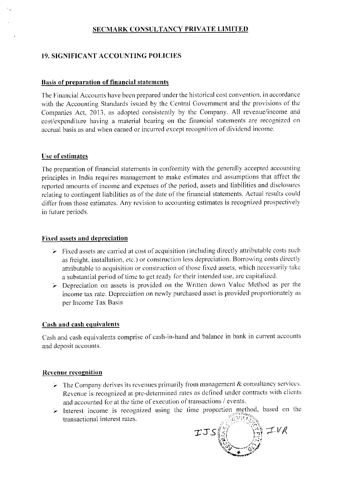### **SECMARK CONSULTANCY PRIVATE LIMITED**

### **19. SIGNIFICANT ACCOUNTING POLICIES**

#### **Basis of preparation of financial statements**

The Financial Accounts have been prepared under the historical cost convention, in accordance with the Accounting Standards issued by the Central Government and the provisions of the Companies Act, 2013, as adopted consistently by the Company. All revenue/income and cost/expenditure having a material bearing on the financial statements are recognized on accrual basis as and when earned or incurred except recognition of dividend income.

#### Use of estimates

The preparation of financial statements in conformity with the generally accepted accounting principles in India requires management to make estimates and assumptions that affect the reported amounts of income and expenses of the period, assets and liabilities and disclosures relating to contingent liabilities as of the date of the financial statements. Actual results could differ from those estimates. Any revision to accounting estimates is recognized prospectively in future periods.

#### **Fixed assets and depreciation**

- $\triangleright$  Fixed assets are carried at cost of acquisition (including directly attributable costs such as freight, installation, etc.) or construction less depreciation. Borrowing costs directly attributable to acquisition or construction of those fixed assets, which necessarily take a substantial period of time to get ready for their intended use, are capitalized.
- $\triangleright$  Depreciation on assets is provided on the Written down Value Method as per the income tax rate. Depreciation on newly purchased asset is provided proportionately as per Income Tax Basis

#### Cash and cash equivalents

Cash and cash equivalents comprise of cash-in-hand and balance in bank in current accounts and deposit accounts.

#### **Revenue recognition**

- $\triangleright$  The Company derives its revenues primarily from management & consultancy services. Revenue is recognized at pre-determined rates as defined under contracts with clients and accounted for at the time of execution of transactions / events.
- $\triangleright$  Interest income is recognized using the time proportion method, based on the transactional interest rates.

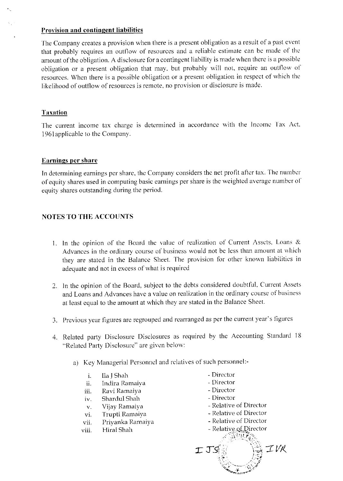### **Provision and contingent liabilities**

The Company creates a provision when there is a present obligation as a result of a past event that probably requires an outflow of resources and a reliable estimate can be made of the amount of the obligation. A disclosure for a contingent liability is made when there is a possible obligation or a present obligation that may, but probably will not, require an outflow of resources. When there is a possible obligation or a present obligation in respect of which the likelihood of outflow of resources is remote, no provision or disclosure is made.

### **Taxation**

The current income tax charge is determined in accordance with the Income Tax Act, 1961 applicable to the Company.

### Earnings per share

In determining earnings per share, the Company considers the net profit after tax. The number of equity shares used in computing basic earnings per share is the weighted average number of equity shares outstanding during the period.

### **NOTES TO THE ACCOUNTS**

- 1. In the opinion of the Board the value of realization of Current Assets, Loans & Advances in the ordinary course of business would not be less than amount at which they are stated in the Balance Sheet. The provision for other known liabilities in adequate and not in excess of what is required
- 2. In the opinion of the Board, subject to the debts considered doubtful, Current Assets and Loans and Advances have a value on realization in the ordinary course of business at least equal to the amount at which they are stated in the Balance Sheet.
- 3. Previous year figures are regrouped and rearranged as per the current year's figures
- 4. Related party Disclosure Disclosures as required by the Accounting Standard 18 "Related Party Disclosure" are given below:
	- a) Key Managerial Personnel and relatives of such personnel:-
		- $\mathbf{i}$ . Ila J Shah
		- Indira Ramaiya ii.
		- Ravi Ramaiya iii.
		- Shardul Shah iv.
		- Vijay Ramaiya  $V,$
		- Trupti Ramaiya vi.
		- Priyanka Ramaiya vii.
		- Hiral Shah viii.
- Director
- Director
- Director
- Director
- Relative of Director
- Relative of Director
- Relative of Director
- Relative of Director
- WEW ZY. IVR IJS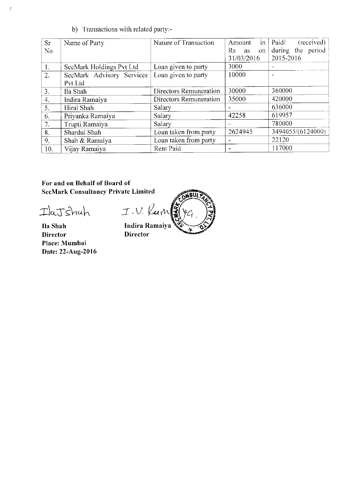b) Transactions with related party:-

| Sr  | Name of Party             | Nature of Transaction  | $\mathop{\text{in}}$<br>Amount | (received)<br>Paid/ |
|-----|---------------------------|------------------------|--------------------------------|---------------------|
| No  |                           |                        | Rs<br>as<br>on.                | during the period   |
|     |                           |                        | 31/03/2016                     | 2015-2016           |
| Ι.  | SecMark Holdings Pvt Ltd  | Loan given to party    | 3000                           |                     |
| 2.  | SecMark Advisory Services | Loan given to party    | 10000                          |                     |
|     | Pvt Ltd                   |                        |                                |                     |
| 3.  | Ila Shah                  | Directors Remuneration | 30000                          | 360000              |
| 4.  | Indira Ramaiya            | Directors Remuneration | 35000                          | 420000              |
| 5.  | Hiral Shah                | Salary                 |                                | 636000              |
| 6.  | Priyanka Ramaiya          | Salary                 | 42258                          | 619957              |
| 7.  | Trupti Ramaiya            | Salary                 |                                | 780000              |
| 8.  | Shardul Shah              | Loan taken from party  | 2624945                        | 3494055/(6124000)   |
| 9.  | Shah & Ramaiya            | Loan taken from party  |                                | 22120               |
| 10. | Vijay Ramaiya             | Rent Paid              |                                | 117000              |

For and on Behalf of Board of **SecMark Consultancy Private Limited** 

IlaJshah

 $\frac{1}{\lambda}$ 

Ila Shah Director Place: Mumbai Date: 22-Aug-2016

I.V. Ram

Indira Ramaiya **Director**